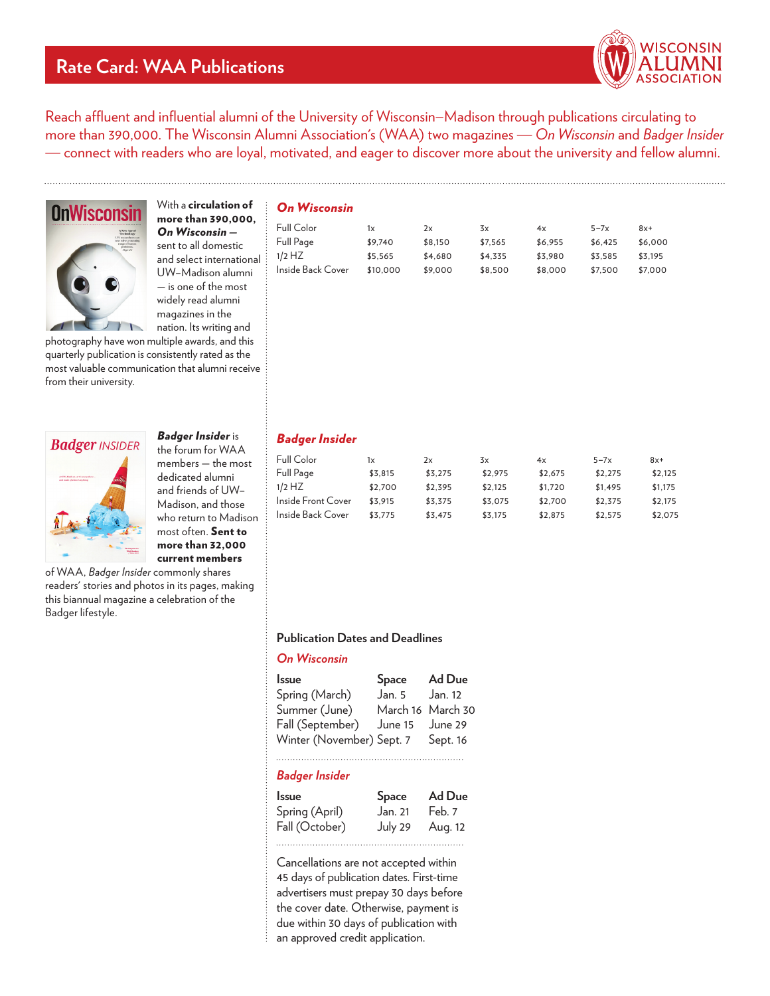# **Rate Card: WAA Publications**



Reach affluent and influential alumni of the University of Wisconsin–Madison through publications circulating to more than 390,000. The Wisconsin Alumni Association's (WAA) two magazines — *On Wisconsin* and *Badger Insider*  — connect with readers who are loyal, motivated, and eager to discover more about the university and fellow alumni.



With a circulation of more than 390,000, *On Wisconsin*  sent to all domestic and select international UW–Madison alumni — is one of the most widely read alumni magazines in the nation. Its writing and

photography have won multiple awards, and this quarterly publication is consistently rated as the most valuable communication that alumni receive from their university.



members — the most dedicated alumni and friends of UW– Madison, and those who return to Madison most often. Sent to more than 32,000 current members

*Badger Insider* is the forum for WAA

of WAA, Badger Insider commonly shares readers' stories and photos in its pages, making this biannual magazine a celebration of the Badger lifestyle.

# *On Wisconsin*

| Full Color          | 1x       | 2x      | 3x      | 4x      | $5 - 7x$ | $8x+$   |
|---------------------|----------|---------|---------|---------|----------|---------|
| Full Page           | \$9.740  | \$8,150 | \$7.565 | \$6.955 | \$6.425  | \$6,000 |
| $\div$ 1/2 HZ       | \$5.565  | \$4.680 | \$4.335 | \$3.980 | \$3.585  | \$3.195 |
| : Inside Back Cover | \$10,000 | \$9,000 | \$8,500 | \$8,000 | \$7.500  | \$7.000 |

# *Badger Insider*

| Full Color         | 1x      | 2x      | $\frac{3}{x}$ | 4x      | $5 - 7x$ | $8x+$   |
|--------------------|---------|---------|---------------|---------|----------|---------|
| Full Page          | \$3.815 | \$3.275 | \$2.975       | \$2.675 | \$2.275  | \$2.125 |
| $1/2$ HZ           | \$2.700 | \$2.395 | \$2.125       | \$1,720 | \$1.495  | \$1,175 |
| Inside Front Cover | \$3.915 | \$3.375 | \$3.075       | \$2.700 | \$2.375  | \$2,175 |
| Inside Back Cover  | \$3.775 | \$3.475 | \$3.175       | \$2.875 | \$2.575  | \$2.075 |

### **Publication Dates and Deadlines**

# *On Wisconsin*

| Space                     | Ad Due            |
|---------------------------|-------------------|
| Jan. 5                    | Jan. 12           |
|                           | March 16 March 30 |
| June 15                   | June 29           |
| Winter (November) Sept. 7 | Sept. 16          |
|                           |                   |

# *Badger Insider*

| <b>Issue</b>   | <b>Space</b> | Ad Due  |
|----------------|--------------|---------|
| Spring (April) | Jan. 21      | Feb. 7  |
| Fall (October) | July 29      | Aug. 12 |
|                |              |         |

Cancellations are not accepted within 45 days of publication dates. First-time advertisers must prepay 30 days before the cover date. Otherwise, payment is due within 30 days of publication with an approved credit application.